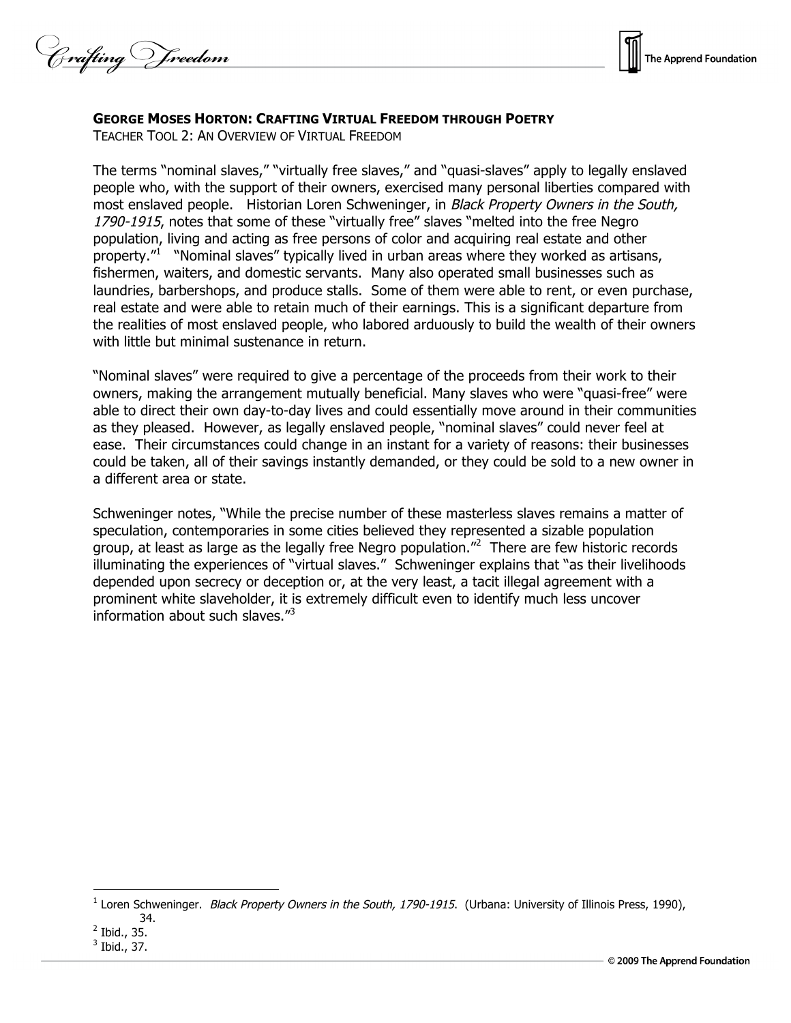Crafting Vreedom



## **GEORGE MOSES HORTON: CRAFTING VIRTUAL FREEDOM THROUGH POETRY**

TEACHER TOOL 2: AN OVERVIEW OF VIRTUAL FREEDOM

The terms "nominal slaves," "virtually free slaves," and "quasi-slaves" apply to legally enslaved people who, with the support of their owners, exercised many personal liberties compared with most enslaved people. Historian Loren Schweninger, in Black Property Owners in the South, 1790-1915, notes that some of these "virtually free" slaves "melted into the free Negro population, living and acting as free persons of color and acquiring real estate and other property."<sup>1</sup> "Nominal slaves" typically lived in urban areas where they worked as artisans, fishermen, waiters, and domestic servants. Many also operated small businesses such as laundries, barbershops, and produce stalls. Some of them were able to rent, or even purchase, real estate and were able to retain much of their earnings. This is a significant departure from the realities of most enslaved people, who labored arduously to build the wealth of their owners with little but minimal sustenance in return.

"Nominal slaves" were required to give a percentage of the proceeds from their work to their owners, making the arrangement mutually beneficial. Many slaves who were "quasi-free" were able to direct their own day-to-day lives and could essentially move around in their communities as they pleased. However, as legally enslaved people, "nominal slaves" could never feel at ease. Their circumstances could change in an instant for a variety of reasons: their businesses could be taken, all of their savings instantly demanded, or they could be sold to a new owner in a different area or state.

Schweninger notes, "While the precise number of these masterless slaves remains a matter of speculation, contemporaries in some cities believed they represented a sizable population group, at least as large as the legally free Negro population."<sup>2</sup> There are few historic records illuminating the experiences of "virtual slaves." Schweninger explains that "as their livelihoods depended upon secrecy or deception or, at the very least, a tacit illegal agreement with a prominent white slaveholder, it is extremely difficult even to identify much less uncover information about such slaves."<sup>3</sup>

 $\overline{a}$ 

 $1$  Loren Schweninger. Black Property Owners in the South, 1790-1915. (Urbana: University of Illinois Press, 1990), 34.

<sup>2</sup> Ibid., 35.

<sup>3</sup> Ibid., 37.